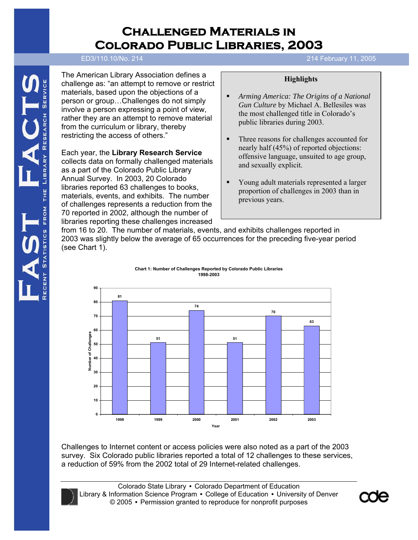# **Challenged Materials in Colorado Public Libraries, 2003**

The American Library Association defines a challenge as: "an attempt to remove or restrict materials, based upon the objections of a person or group…Challenges do not simply involve a person expressing a point of view, rather they are an attempt to remove material from the curriculum or library, thereby restricting the access of others."

Each year, the **Library Research Service** collects data on formally challenged materials as a part of the Colorado Public Library Annual Survey. In 2003, 20 Colorado libraries reported 63 challenges to books, materials, events, and exhibits. The number of challenges represents a reduction from the 70 reported in 2002, although the number of libraries reporting these challenges increased

#### **ED3/110.10/No. 202 December 29, 2003** ED3/110.10/No. 214 214 February 11, 2005

#### **Highlights**

- *Arming America: The Origins of a National Gun Culture* by Michael A. Bellesiles was the most challenged title in Colorado's public libraries during 2003.
- Three reasons for challenges accounted for nearly half (45%) of reported objections: offensive language, unsuited to age group, and sexually explicit.
- Young adult materials represented a larger proportion of challenges in 2003 than in previous years.

from 16 to 20. The number of materials, events, and exhibits challenges reported in 2003 was slightly below the average of 65 occurrences for the preceding five-year period (see Chart 1).





Challenges to Internet content or access policies were also noted as a part of the 2003 survey. Six Colorado public libraries reported a total of 12 challenges to these services, a reduction of 59% from the 2002 total of 29 Internet-related challenges.

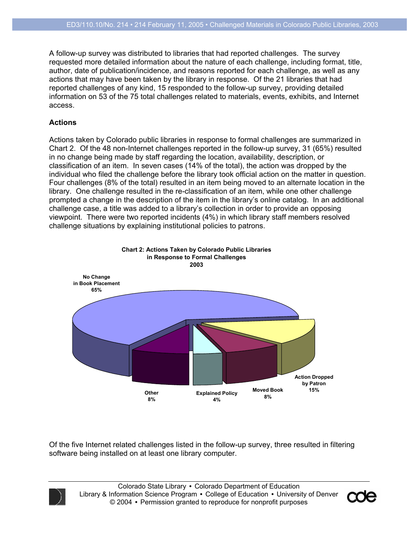A follow-up survey was distributed to libraries that had reported challenges. The survey requested more detailed information about the nature of each challenge, including format, title, author, date of publication/incidence, and reasons reported for each challenge, as well as any actions that may have been taken by the library in response. Of the 21 libraries that had reported challenges of any kind, 15 responded to the follow-up survey, providing detailed information on 53 of the 75 total challenges related to materials, events, exhibits, and Internet access.

#### **Actions**

Actions taken by Colorado public libraries in response to formal challenges are summarized in Chart 2. Of the 48 non-Internet challenges reported in the follow-up survey, 31 (65%) resulted in no change being made by staff regarding the location, availability, description, or classification of an item. In seven cases (14% of the total), the action was dropped by the individual who filed the challenge before the library took official action on the matter in question. Four challenges (8% of the total) resulted in an item being moved to an alternate location in the library. One challenge resulted in the re-classification of an item, while one other challenge prompted a change in the description of the item in the library's online catalog. In an additional challenge case, a title was added to a library's collection in order to provide an opposing viewpoint. There were two reported incidents (4%) in which library staff members resolved challenge situations by explaining institutional policies to patrons.



Of the five Internet related challenges listed in the follow-up survey, three resulted in filtering software being installed on at least one library computer.



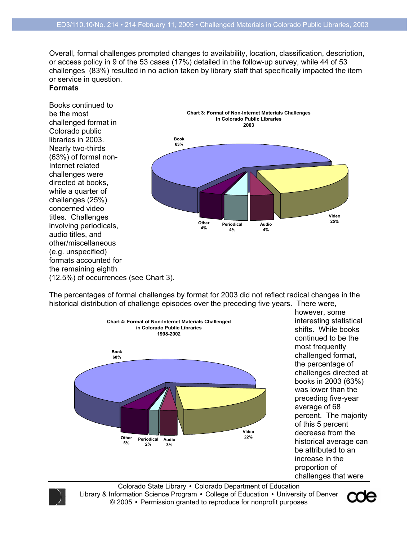Overall, formal challenges prompted changes to availability, location, classification, description, or access policy in 9 of the 53 cases (17%) detailed in the follow-up survey, while 44 of 53 challenges (83%) resulted in no action taken by library staff that specifically impacted the item or service in question.

#### **Formats**

Books continued to be the most challenged format in Colorado public libraries in 2003. Nearly two-thirds (63%) of formal non-Internet related challenges were directed at books, while a quarter of challenges (25%) concerned video titles. Challenges involving periodicals, audio titles, and other/miscellaneous (e.g. unspecified) formats accounted for the remaining eighth (12.5%) of occurrences (see Chart 3).



The percentages of formal challenges by format for 2003 did not reflect radical changes in the historical distribution of challenge episodes over the preceding five years. There were,



however, some interesting statistical shifts. While books continued to be the most frequently challenged format, the percentage of challenges directed at books in 2003 (63%) was lower than the preceding five-year average of 68 percent. The majority of this 5 percent decrease from the historical average can be attributed to an increase in the proportion of challenges that were



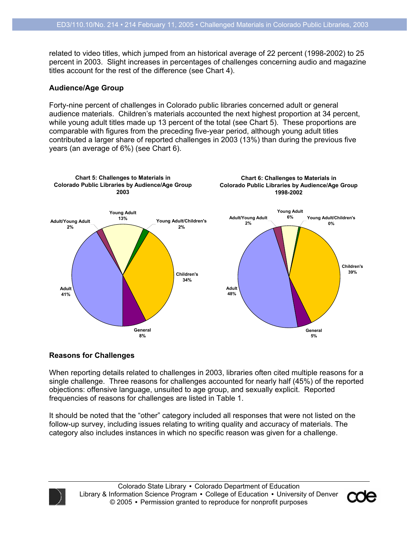related to video titles, which jumped from an historical average of 22 percent (1998-2002) to 25 percent in 2003. Slight increases in percentages of challenges concerning audio and magazine titles account for the rest of the difference (see Chart 4).

#### **Audience/Age Group**

Forty-nine percent of challenges in Colorado public libraries concerned adult or general audience materials. Children's materials accounted the next highest proportion at 34 percent, while young adult titles made up 13 percent of the total (see Chart 5). These proportions are comparable with figures from the preceding five-year period, although young adult titles contributed a larger share of reported challenges in 2003 (13%) than during the previous five years (an average of 6%) (see Chart 6).



#### **Reasons for Challenges**

When reporting details related to challenges in 2003, libraries often cited multiple reasons for a single challenge. Three reasons for challenges accounted for nearly half (45%) of the reported objections: offensive language, unsuited to age group, and sexually explicit. Reported frequencies of reasons for challenges are listed in Table 1.

It should be noted that the "other" category included all responses that were not listed on the follow-up survey, including issues relating to writing quality and accuracy of materials. The category also includes instances in which no specific reason was given for a challenge.



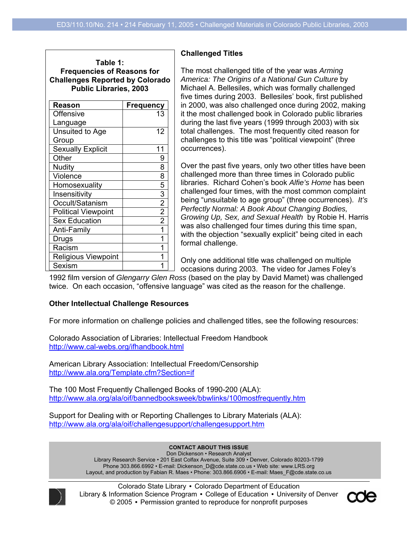| Table 1:                               |
|----------------------------------------|
| <b>Frequencies of Reasons for</b>      |
| <b>Challenges Reported by Colorado</b> |
| <b>Public Libraries, 2003</b>          |
|                                        |

| Reason                     | <b>Frequency</b> |
|----------------------------|------------------|
| <b>Offensive</b>           | 13               |
| Language                   |                  |
| Unsuited to Age            | 12               |
| Group                      |                  |
| <b>Sexually Explicit</b>   | 11               |
| Other                      | 9                |
| Nudity                     | 8                |
| Violence                   | 8                |
| Homosexuality              | 5                |
| Insensitivity              | $\overline{3}$   |
| Occult/Satanism            | $\overline{2}$   |
| <b>Political Viewpoint</b> | $\overline{2}$   |
| <b>Sex Education</b>       | $\overline{2}$   |
| Anti-Family                | 1                |
| Drugs                      |                  |
| Racism                     |                  |
| <b>Religious Viewpoint</b> |                  |
| Sexism                     |                  |

#### **Challenged Titles**

The most challenged title of the year was *Arming America: The Origins of a National Gun Culture* by Michael A. Bellesiles, which was formally challenged five times during 2003. Bellesiles' book, first published in 2000, was also challenged once during 2002, making it the most challenged book in Colorado public libraries during the last five years (1999 through 2003) with six total challenges. The most frequently cited reason for challenges to this title was "political viewpoint" (three occurrences).

Over the past five years, only two other titles have been challenged more than three times in Colorado public libraries. Richard Cohen's book *Alfie's Home* has been challenged four times, with the most common complaint being "unsuitable to age group" (three occurrences). *It's Perfectly Normal: A Book About Changing Bodies, Growing Up, Sex, and Sexual Health* by Robie H. Harris was also challenged four times during this time span, with the objection "sexually explicit" being cited in each formal challenge.

Only one additional title was challenged on multiple occasions during 2003. The video for James Foley's

1992 film version of *Glengarry Glen Ross* (based on the play by David Mamet) was challenged twice. On each occasion, "offensive language" was cited as the reason for the challenge.

#### **Other Intellectual Challenge Resources**

For more information on challenge policies and challenged titles, see the following resources:

Colorado Association of Libraries: Intellectual Freedom Handbook http://www.cal-webs.org/ifhandbook.html

American Library Association: Intellectual Freedom/Censorship http://www.ala.org/Template.cfm?Section=if

The 100 Most Frequently Challenged Books of 1990-200 (ALA): http://www.ala.org/ala/oif/bannedbooksweek/bbwlinks/100mostfrequently.htm

Support for Dealing with or Reporting Challenges to Library Materials (ALA): http://www.ala.org/ala/oif/challengesupport/challengesupport.htm

**CONTACT ABOUT THIS ISSUE CONTACT ABOUT THIS ISSUE** 

Don Dickenson • Research Analyst Library Research Service • 201 East Colfax Avenue, Suite 309 • Denver, Colorado 80203-1799 Library Research Service • 201 East Colfax Avenue, Suite 309 • Denver, Colorado 80203-1799 Phone 303.866.6992 • E-mail: Dickenson\_D@cde.state.co.us • Web site: www.LRS.org Layout, and production by Fabian R. Maes • Phone: 303.866.6906 • E-mail: Maes\_F@cde.state.co.us



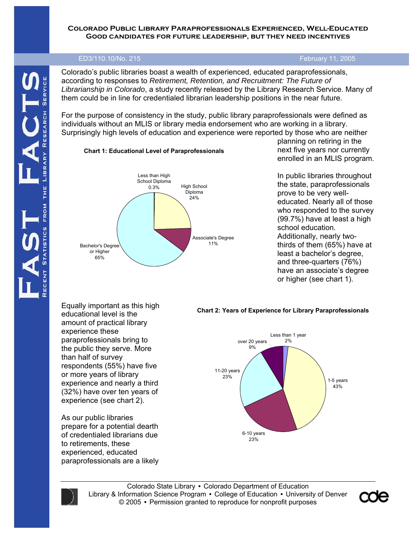#### **Colorado Public Library Paraprofessionals Experienced, Well-Educated Good candidates for future leadership, but they need incentives**

# **ED3/110.10/No. 215** ED3/110.10/No. 215

Colorado's public libraries boast a wealth of experienced, educated paraprofessionals, according to responses to *Retirement, Retention, and Recruitment: The Future of Librarianship in Colorado*, a study recently released by the Library Research Service. Many of them could be in line for credentialed librarian leadership positions in the near future.

For the purpose of consistency in the study, public library paraprofessionals were defined as individuals without an MLIS or library media endorsement who are working in a library. Surprisingly high levels of education and experience were reported by those who are neither

#### **Chart 1: Educational Level of Paraprofessionals**



planning on retiring in the next five years nor currently enrolled in an MLIS program.

In public libraries throughout the state, paraprofessionals prove to be very welleducated. Nearly all of those who responded to the survey (99.7%) have at least a high school education. Additionally, nearly twothirds of them (65%) have at least a bachelor's degree, and three-quarters (76%) have an associate's degree or higher (see chart 1).

Equally important as this high educational level is the amount of practical library experience these paraprofessionals bring to the public they serve. More than half of survey respondents (55%) have five or more years of library experience and nearly a third (32%) have over ten years of experience (see chart 2).

As our public libraries prepare for a potential dearth of credentialed librarians due to retirements, these experienced, educated paraprofessionals are a likely

#### **Chart 2: Years of Experience for Library Paraprofessionals**





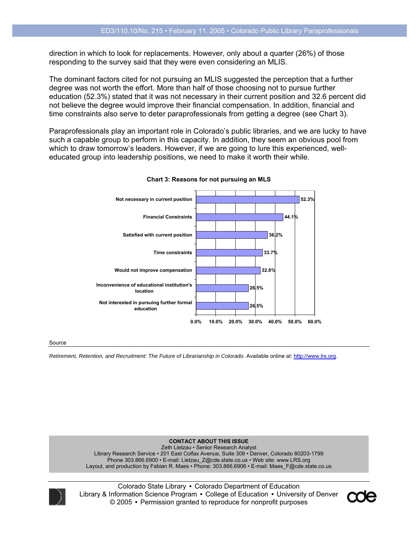direction in which to look for replacements. However, only about a quarter (26%) of those responding to the survey said that they were even considering an MLIS.

The dominant factors cited for not pursuing an MLIS suggested the perception that a further degree was not worth the effort. More than half of those choosing not to pursue further education (52.3%) stated that it was not necessary in their current position and 32.6 percent did not believe the degree would improve their financial compensation. In addition, financial and time constraints also serve to deter paraprofessionals from getting a degree (see Chart 3).

Paraprofessionals play an important role in Colorado's public libraries, and we are lucky to have such a capable group to perform in this capacity. In addition, they seem an obvious pool from which to draw tomorrow's leaders. However, if we are going to lure this experienced, welleducated group into leadership positions, we need to make it worth their while.



**Chart 3: Reasons for not pursuing an MLS**

#### Source

*Retirement, Retention, and Recruitment: The Future of Librarianship in Colorado.* Available online at: http://www.lrs.org.

**CONTACT ABOUT THIS ISSUE**  Zeth Lietzau • Senior Research Analyst Library Research Service • 201 East Colfax Avenue, Suite 309 • Denver, Colorado 80203-1799 Phone 303.866.6900 • E-mail: Lietzau\_Z@cde.state.co.us • Web site: www.LRS.org Layout, and production by Fabian R. Maes • Phone: 303.866.6906 • E-mail: Maes\_F@cde.state.co.us



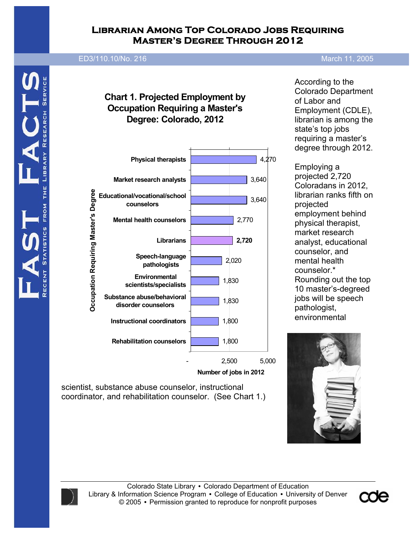## **Librarian Among Top Colorado Jobs Requiring Master's Degree Through 2012**

### **ED3/110.10/No. 216 2005**

# **Chart 1. Projected Employment by Occupation Requiring a Master's Degree: Colorado, 2012**



**Number of jobs in 2012**

scientist, substance abuse counselor, instructional coordinator, and rehabilitation counselor. (See Chart 1.)

According to the Colorado Department of Labor and Employment (CDLE), librarian is among the state's top jobs requiring a master's degree through 2012.

Employing a projected 2,720 Coloradans in 2012, librarian ranks fifth on projected employment behind physical therapist, market research analyst, educational counselor, and mental health counselor.\* Rounding out the top 10 master's-degreed jobs will be speech pathologist, environmental





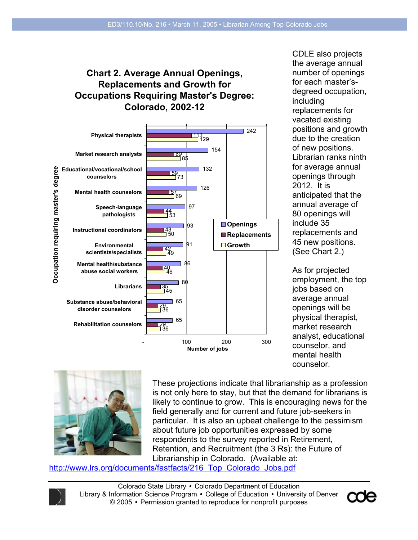# **Chart 2. Average Annual Openings, Replacements and Growth for Occupations Requiring Master's Degree: Colorado, 2002-12**



CDLE also projects the average annual number of openings for each master'sdegreed occupation, including replacements for vacated existing positions and growth due to the creation of new positions. Librarian ranks ninth for average annual openings through 2012. It is anticipated that the annual average of 80 openings will include 35 replacements and 45 new positions. (See Chart 2.)

As for projected employment, the top jobs based on average annual openings will be physical therapist, market research analyst, educational counselor, and mental health counselor.



These projections indicate that librarianship as a profession is not only here to stay, but that the demand for librarians is likely to continue to grow. This is encouraging news for the field generally and for current and future job-seekers in particular. It is also an upbeat challenge to the pessimism about future job opportunities expressed by some respondents to the survey reported in Retirement, Retention, and Recruitment (the 3 Rs): the Future of Librarianship in Colorado. (Available at:

http://www.lrs.org/documents/fastfacts/216\_Top\_Colorado\_Jobs.pdf



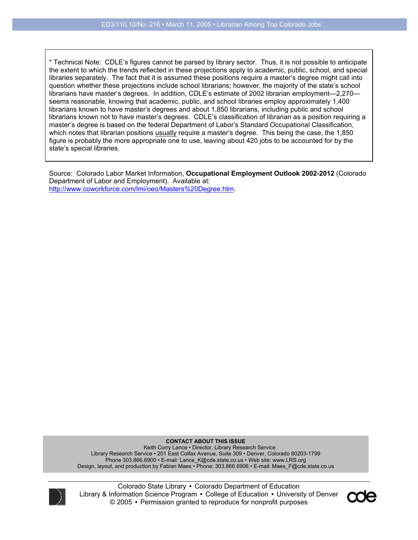\* Technical Note: CDLE's figures cannot be parsed by library sector. Thus, it is not possible to anticipate the extent to which the trends reflected in these projections apply to academic, public, school, and special libraries separately. The fact that it is assumed these positions require a master's degree might call into question whether these projections include school librarians; however, the majority of the state's school librarians have master's degrees. In addition, CDLE's estimate of 2002 librarian employment—2,270 seems reasonable, knowing that academic, public, and school libraries employ approximately 1,400 librarians known to have master's degrees and about 1,850 librarians, including public and school librarians known not to have master's degrees. CDLE's classification of librarian as a position requiring a master's degree is based on the federal Department of Labor's Standard Occupational Classification, which notes that librarian positions usually require a master's degree. This being the case, the 1,850 figure is probably the more appropriate one to use, leaving about 420 jobs to be accounted for by the state's special libraries.

Source: Colorado Labor Market Information, **Occupational Employment Outlook 2002-2012** (Colorado Department of Labor and Employment). Available at: http://www.coworkforce.com/lmi/oeo/Masters%20Degree.htm.

**CONTACT ABOUT THIS ISSUE**  Keith Curry Lance • Director, Library Research Service Library Research Service • 201 East Colfax Avenue, Suite 309 • Denver, Colorado 80203-1799 Phone 303.866.6900 • E-mail: Lance\_K@cde.state.co.us • Web site: www.LRS.org Design, layout, and production by Fabian Maes • Phone: 303.866.6906 • E-mail: Maes\_F@cde.state.co.us



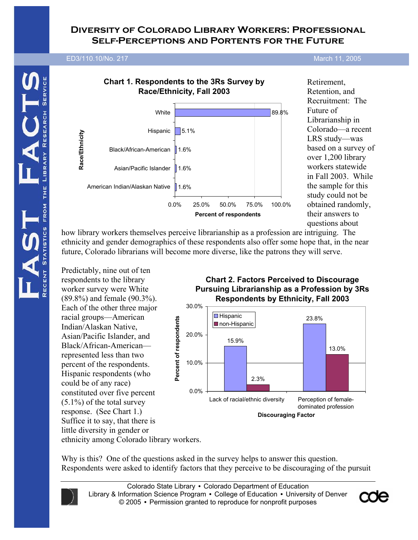## **Diversity of Colorado Library Workers: Professional Self-Perceptions and Portents for the Future**

# **ED3/110.10/No. 202 December 29, 2003** ED3/110.10/No. 217 March 11, 2005



Retirement, Retention, and Recruitment: The Future of Librarianship in Colorado—a recent LRS study—was based on a survey of over 1,200 library workers statewide in Fall 2003. While the sample for this study could not be obtained randomly, their answers to questions about

how library workers themselves perceive librarianship as a profession are intriguing. The ethnicity and gender demographics of these respondents also offer some hope that, in the near future, Colorado librarians will become more diverse, like the patrons they will serve.

Predictably, nine out of ten respondents to the library worker survey were White (89.8%) and female (90.3%). Each of the other three major racial groups—American Indian/Alaskan Native, Asian/Pacific Islander, and Black/African-American represented less than two percent of the respondents. Hispanic respondents (who could be of any race) constituted over five percent (5.1%) of the total survey response. (See Chart 1.) Suffice it to say, that there is little diversity in gender or ethnicity among Colorado library workers.

**Chart 2. Factors Perceived to Discourage Pursuing Librarianship as a Profession by 3Rs Respondents by Ethnicity, Fall 2003**



Why is this? One of the questions asked in the survey helps to answer this question. Respondents were asked to identify factors that they perceive to be discouraging of the pursuit



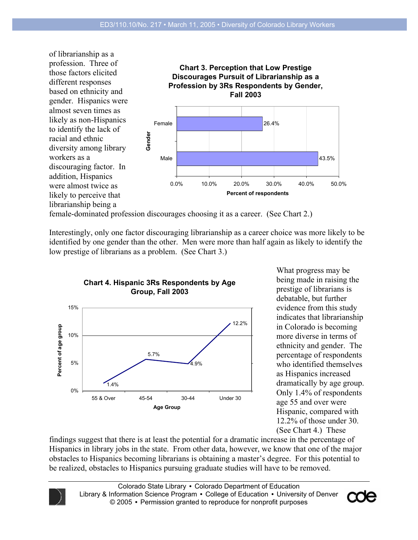

female-dominated profession discourages choosing it as a career. (See Chart 2.)

Interestingly, only one factor discouraging librarianship as a career choice was more likely to be identified by one gender than the other. Men were more than half again as likely to identify the low prestige of librarians as a problem. (See Chart 3.)



What progress may be being made in raising the prestige of librarians is debatable, but further evidence from this study indicates that librarianship in Colorado is becoming more diverse in terms of ethnicity and gender. The percentage of respondents who identified themselves as Hispanics increased dramatically by age group. Only 1.4% of respondents age 55 and over were Hispanic, compared with 12.2% of those under 30. (See Chart 4.) These

findings suggest that there is at least the potential for a dramatic increase in the percentage of Hispanics in library jobs in the state. From other data, however, we know that one of the major obstacles to Hispanics becoming librarians is obtaining a master's degree. For this potential to be realized, obstacles to Hispanics pursuing graduate studies will have to be removed.

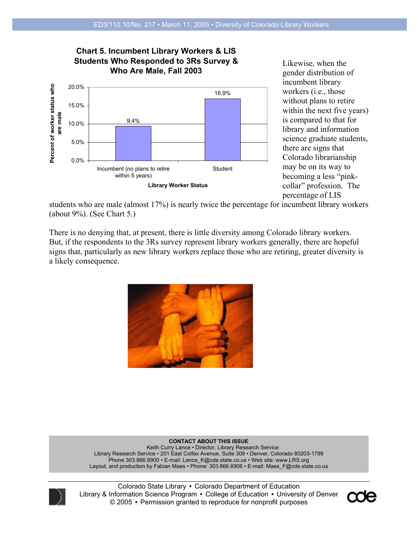### **Chart 5. Incumbent Library Workers & LIS Students Who Responded to 3Rs Survey & Who Are Male, Fall 2003**



Likewise, when the gender distribution of incumbent library workers (i.e., those without plans to retire within the next five years) is compared to that for library and information science graduate students, there are signs that Colorado librarianship may be on its way to becoming a less "pinkcollar" profession. The percentage of LIS

students who are male (almost 17%) is nearly twice the percentage for incumbent library workers (about 9%). (See Chart 5.)

There is no denying that, at present, there is little diversity among Colorado library workers. But, if the respondents to the 3Rs survey represent library workers generally, there are hopeful signs that, particularly as new library workers replace those who are retiring, greater diversity is a likely consequence.



**CONTACT ABOUT THIS ISSUE**  Keith Curry Lance • Director, Library Research Service Library Research Service • 201 East Colfax Avenue, Suite 309 • Denver, Colorado 80203-1799 Phone 303.866.6900 • E-mail: Lance\_K@cde.state.co.us • Web site: www.LRS.org Layout, and production by Fabian Maes • Phone: 303.866.6906 • E-mail: Maes\_F@cde.state.co.us



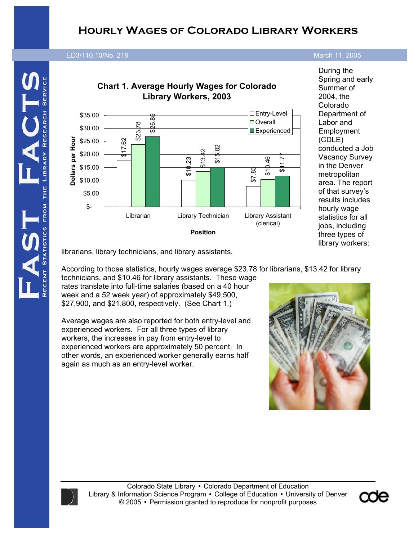# **Hourly Wages of Colorado Library Workers**

# **ED3/110.10/No. 202 December 29,** ED3/110.10/No. 218 March 11, 2005



During the Spring and early Summer of 2004, the Colorado Department of Labor and **Employment** (CDLE) conducted a Job Vacancy Survey in the Denver metropolitan area. The report of that survey's results includes hourly wage statistics for all jobs, including three types of library workers:

librarians, library technicians, and library assistants.

According to those statistics, hourly wages average \$23.78 for librarians, \$13.42 for library technicians, and \$10.46 for library assistants. These wage rates translate into full-time salaries (based on a 40 hour

week and a 52 week year) of approximately \$49,500, \$27,900, and \$21,800, respectively. (See Chart 1.)

Average wages are also reported for both entry-level and experienced workers. For all three types of library workers, the increases in pay from entry-level to experienced workers are approximately 50 percent. In other words, an experienced worker generally earns half again as much as an entry-level worker.





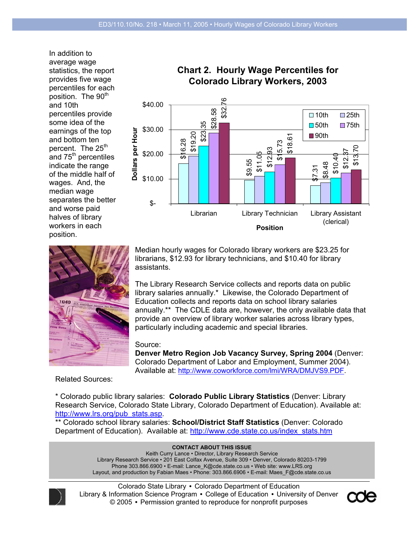In addition to average wage statistics, the report provides five wage percentiles for each position. The 90<sup>th</sup> and 10th percentiles provide some idea of the earnings of the top and bottom ten percent. The 25<sup>th</sup> and 75<sup>th</sup> percentiles indicate the range of the middle half of wages. And, the median wage separates the better and worse paid halves of library workers in each position.







Median hourly wages for Colorado library workers are \$23.25 for librarians, \$12.93 for library technicians, and \$10.40 for library assistants.

The Library Research Service collects and reports data on public library salaries annually.\* Likewise, the Colorado Department of Education collects and reports data on school library salaries annually.\*\* The CDLE data are, however, the only available data that provide an overview of library worker salaries across library types, particularly including academic and special libraries.

#### Source:

**Denver Metro Region Job Vacancy Survey, Spring 2004** (Denver: Colorado Department of Labor and Employment, Summer 2004). Available at: http://www.coworkforce.com/lmi/WRA/DMJVS9.PDF.

Related Sources:

\* Colorado public library salaries: **Colorado Public Library Statistics** (Denver: Library Research Service, Colorado State Library, Colorado Department of Education). Available at: http://www.lrs.org/pub\_stats.asp.

\*\* Colorado school library salaries: **School/District Staff Statistics** (Denver: Colorado Department of Education). Available at: http://www.cde.state.co.us/index\_stats.htm

> **CONTACT ABOUT THIS ISSUE**  Keith Curry Lance • Director, Library Research Service Library Research Service • 201 East Colfax Avenue, Suite 309 • Denver, Colorado 80203-1799 Phone 303.866.6900 • E-mail: Lance K@cde.state.co.us • Web site: www.LRS.org

Layout, and production by Fabian Maes • Phone: 303.866.6906 • E-mail: Maes\_F@cde.state.co.us



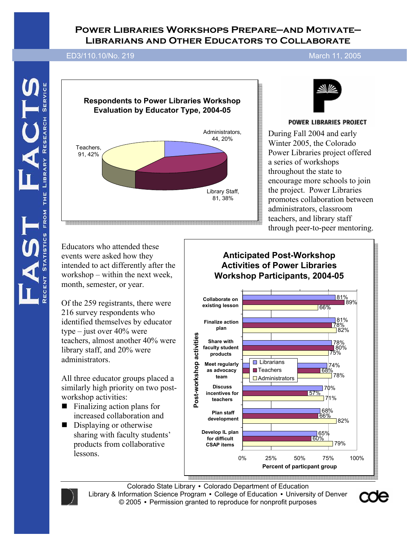# **Power Libraries Workshops Prepare—and Motivate— Librarians and Other Educators to Collaborate**

ED3/110.10/No. 219 March 11, 2005

**ED3/110.10/No. 202 December 29, 2003** 





#### **POWER LIBRARIES PROJECT**

During Fall 2004 and early Winter 2005, the Colorado Power Libraries project offered a series of workshops throughout the state to encourage more schools to join the project. Power Libraries promotes collaboration between administrators, classroom teachers, and library staff through peer-to-peer mentoring.

Educators who attended these events were asked how they intended to act differently after the workshop – within the next week, month, semester, or year.

Of the 259 registrants, there were 216 survey respondents who identified themselves by educator type – just over 40% were teachers, almost another 40% were library staff, and 20% were administrators.

All three educator groups placed a similarly high priority on two postworkshop activities:

- $\blacksquare$  Finalizing action plans for increased collaboration and
- Displaying or otherwise sharing with faculty students' products from collaborative lessons.







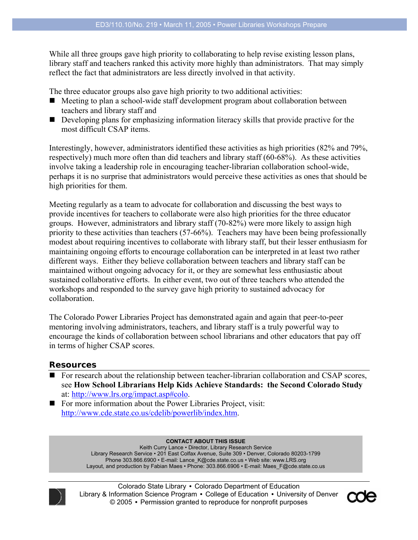While all three groups gave high priority to collaborating to help revise existing lesson plans, library staff and teachers ranked this activity more highly than administrators. That may simply reflect the fact that administrators are less directly involved in that activity.

The three educator groups also gave high priority to two additional activities:

- Meeting to plan a school-wide staff development program about collaboration between teachers and library staff and
- Developing plans for emphasizing information literacy skills that provide practive for the most difficult CSAP items.

Interestingly, however, administrators identified these activities as high priorities (82% and 79%, respectively) much more often than did teachers and library staff (60-68%). As these activities involve taking a leadership role in encouraging teacher-librarian collaboration school-wide, perhaps it is no surprise that administrators would perceive these activities as ones that should be high priorities for them.

Meeting regularly as a team to advocate for collaboration and discussing the best ways to provide incentives for teachers to collaborate were also high priorities for the three educator groups. However, administrators and library staff (70-82%) were more likely to assign high priority to these activities than teachers (57-66%). Teachers may have been being professionally modest about requiring incentives to collaborate with library staff, but their lesser enthusiasm for maintaining ongoing efforts to encourage collaboration can be interpreted in at least two rather different ways. Either they believe collaboration between teachers and library staff can be maintained without ongoing advocacy for it, or they are somewhat less enthusiastic about sustained collaborative efforts. In either event, two out of three teachers who attended the workshops and responded to the survey gave high priority to sustained advocacy for collaboration.

The Colorado Power Libraries Project has demonstrated again and again that peer-to-peer mentoring involving administrators, teachers, and library staff is a truly powerful way to encourage the kinds of collaboration between school librarians and other educators that pay off in terms of higher CSAP scores.

#### **Resources**

■ For research about the relationship between teacher-librarian collaboration and CSAP scores, see **How School Librarians Help Kids Achieve Standards: the Second Colorado Study** at: http://www.lrs.org/impact.asp#colo.

For more information about the Power Libraries Project, visit: http://www.cde.state.co.us/cdelib/powerlib/index.htm.

#### **CONTACT ABOUT THIS ISSUE**

Keith Curry Lance • Director, Library Research Service Library Research Service • 201 East Colfax Avenue, Suite 309 • Denver, Colorado 80203-1799 Phone 303.866.6900 • E-mail: Lance\_K@cde.state.co.us • Web site: www.LRS.org Layout, and production by Fabian Maes • Phone: 303.866.6906 • E-mail: Maes\_F@cde.state.co.us



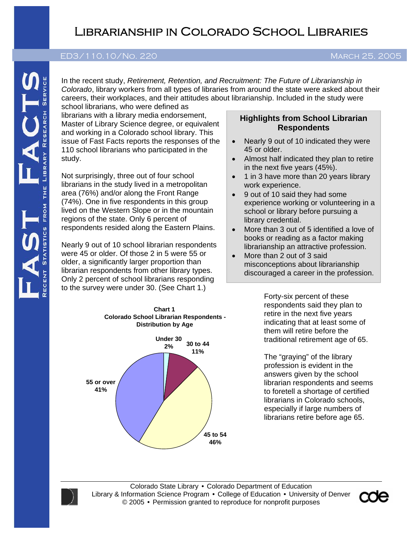# Librarianship in Colorado School Libraries

#### **ED3/110.10/NO. 202 December 2012 202 December 2012 202 December 2012 202 December 2012 202 December 2012 202 December 2012 202 December 2012 202 December 2012 202 December 2012 202 December 2012 202 December 2012 202 Dece** ED3/110.10/No. 220 March 25, 2005

In the recent study, *Retirement, Retention, and Recruitment: The Future of Librarianship in Colorado*, library workers from all types of libraries from around the state were asked about their careers, their workplaces, and their attitudes about librarianship. Included in the study were

school librarians, who were defined as librarians with a library media endorsement, Master of Library Science degree, or equivalent and working in a Colorado school library. This issue of Fast Facts reports the responses of the 110 school librarians who participated in the study.

Not surprisingly, three out of four school librarians in the study lived in a metropolitan area (76%) and/or along the Front Range (74%). One in five respondents in this group lived on the Western Slope or in the mountain regions of the state. Only 6 percent of respondents resided along the Eastern Plains.

Nearly 9 out of 10 school librarian respondents were 45 or older. Of those 2 in 5 were 55 or older, a significantly larger proportion than librarian respondents from other library types. Only 2 percent of school librarians responding to the survey were under 30. (See Chart 1.)

#### **Highlights from School Librarian Respondents**

- Nearly 9 out of 10 indicated they were 45 or older.
- Almost half indicated they plan to retire in the next five years (45%).
- 1 in 3 have more than 20 years library work experience.
- 9 out of 10 said they had some experience working or volunteering in a school or library before pursuing a library credential.
- More than 3 out of 5 identified a love of books or reading as a factor making librarianship an attractive profession.
- More than 2 out of 3 said misconceptions about librarianship discouraged a career in the profession.

Forty-six percent of these respondents said they plan to retire in the next five years indicating that at least some of them will retire before the traditional retirement age of 65.

The "graying" of the library profession is evident in the answers given by the school librarian respondents and seems to foretell a shortage of certified librarians in Colorado schools, especially if large numbers of librarians retire before age 65.



**Chart 1**



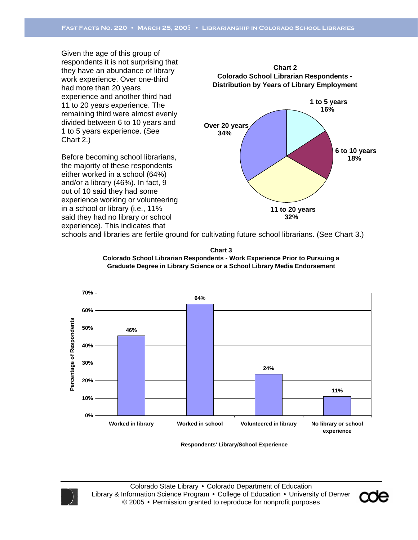Given the age of this group of respondents it is not surprising that they have an abundance of library work experience. Over one-third had more than 20 years experience and another third had 11 to 20 years experience. The remaining third were almost evenly divided between 6 to 10 years and 1 to 5 years experience. (See Chart 2.)

Before becoming school librarians, the majority of these respondents either worked in a school (64%) and/or a library (46%). In fact, 9 out of 10 said they had some experience working or volunteering in a school or library (i.e., 11% said they had no library or school experience). This indicates that



schools and libraries are fertile ground for cultivating future school librarians. (See Chart 3.)





**Respondents' Library/School Experience**



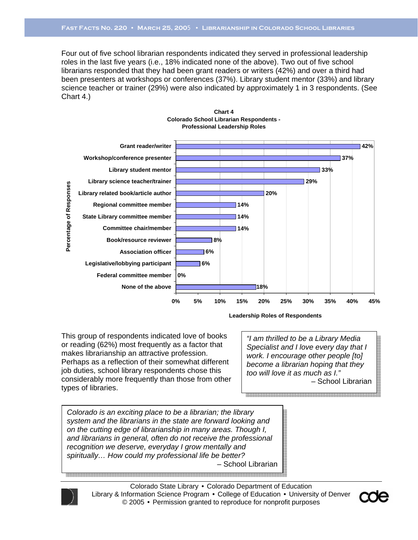Four out of five school librarian respondents indicated they served in professional leadership roles in the last five years (i.e., 18% indicated none of the above). Two out of five school librarians responded that they had been grant readers or writers (42%) and over a third had been presenters at workshops or conferences (37%). Library student mentor (33%) and library science teacher or trainer (29%) were also indicated by approximately 1 in 3 respondents. (See Chart 4.)





This group of respondents indicated love of books or reading (62%) most frequently as a factor that makes librarianship an attractive profession. Perhaps as a reflection of their somewhat different job duties, school library respondents chose this considerably more frequently than those from other types of libraries.

**Leadership Roles of Respondents**

*"I am thrilled to be a Library Media Specialist and I love every day that I work. I encourage other people [to] become a librarian hoping that they too will love it as much as I."*  – School Librarian

*Colorado is an exciting place to be a librarian; the library system and the librarians in the state are forward looking and on the cutting edge of librarianship in many areas. Though I, and librarians in general, often do not receive the professional recognition we deserve, everyday I grow mentally and spiritually… How could my professional life be better?*  – School Librarian



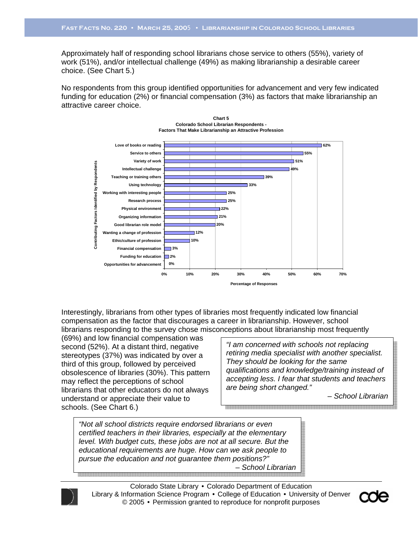Approximately half of responding school librarians chose service to others (55%), variety of work (51%), and/or intellectual challenge (49%) as making librarianship a desirable career choice. (See Chart 5.)

No respondents from this group identified opportunities for advancement and very few indicated funding for education (2%) or financial compensation (3%) as factors that make librarianship an attractive career choice.





(69%) and low financial compensation was second (52%). At a distant third, negative stereotypes (37%) was indicated by over a third of this group, followed by perceived obsolescence of libraries (30%). This pattern may reflect the perceptions of school librarians that other educators do not always understand or appreciate their value to schools. (See Chart 6.)

*"I am concerned with schools not replacing retiring media specialist with another specialist. They should be looking for the same qualifications and knowledge/training instead of accepting less. I fear that students and teachers are being short changed."* 

– *School Librarian*

*"Not all school districts require endorsed librarians or even certified teachers in their libraries, especially at the elementary level. With budget cuts, these jobs are not at all secure. But the educational requirements are huge. How can we ask people to pursue the education and not guarantee them positions?"*  – *School Librarian*



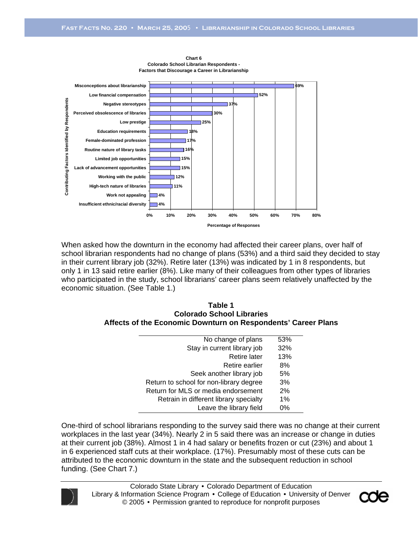

**Chart 6 Colorado School Librarian Respondents - Factors that Discourage a Career in Librarianship**

When asked how the downturn in the economy had affected their career plans, over half of school librarian respondents had no change of plans (53%) and a third said they decided to stay in their current library job (32%). Retire later (13%) was indicated by 1 in 8 respondents, but only 1 in 13 said retire earlier (8%). Like many of their colleagues from other types of libraries who participated in the study, school librarians' career plans seem relatively unaffected by the economic situation. (See Table 1.)

#### **Table 1 Colorado School Libraries Affects of the Economic Downturn on Respondents' Career Plans**

| No change of plans                      | 53%   |
|-----------------------------------------|-------|
| Stay in current library job             | 32%   |
| <b>Retire later</b>                     | 13%   |
| Retire earlier                          | 8%    |
| Seek another library job                | 5%    |
| Return to school for non-library degree | 3%    |
| Return for MLS or media endorsement     | 2%    |
| Retrain in different library specialty  | $1\%$ |
| Leave the library field                 | 0%    |

One-third of school librarians responding to the survey said there was no change at their current workplaces in the last year (34%). Nearly 2 in 5 said there was an increase or change in duties at their current job (38%). Almost 1 in 4 had salary or benefits frozen or cut (23%) and about 1 in 6 experienced staff cuts at their workplace. (17%). Presumably most of these cuts can be attributed to the economic downturn in the state and the subsequent reduction in school funding. (See Chart 7.)



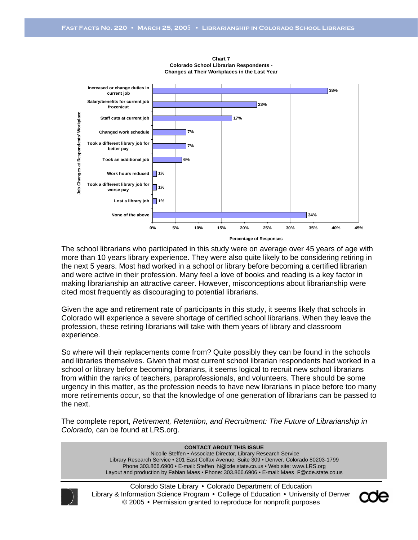

**Chart 7 Colorado School Librarian Respondents - Changes at Their Workplaces in the Last Year**

The school librarians who participated in this study were on average over 45 years of age with more than 10 years library experience. They were also quite likely to be considering retiring in the next 5 years. Most had worked in a school or library before becoming a certified librarian and were active in their profession. Many feel a love of books and reading is a key factor in making librarianship an attractive career. However, misconceptions about librarianship were cited most frequently as discouraging to potential librarians.

Given the age and retirement rate of participants in this study, it seems likely that schools in Colorado will experience a severe shortage of certified school librarians. When they leave the profession, these retiring librarians will take with them years of library and classroom experience.

So where will their replacements come from? Quite possibly they can be found in the schools and libraries themselves. Given that most current school librarian respondents had worked in a school or library before becoming librarians, it seems logical to recruit new school librarians from within the ranks of teachers, paraprofessionals, and volunteers. There should be some urgency in this matter, as the profession needs to have new librarians in place before too many more retirements occur, so that the knowledge of one generation of librarians can be passed to the next.

The complete report, *Retirement, Retention, and Recruitment: The Future of Librarianship in Colorado,* can be found at LRS.org.

> **CONTACT ABOUT THIS ISSUE**  Nicolle Steffen • Associate Director, Library Research Service Library Research Service • 201 East Colfax Avenue, Suite 309 • Denver, Colorado 80203-1799 Phone 303.866.6900 • E-mail: Steffen\_N@cde.state.co.us • Web site: www.LRS.org Layout and production by Fabian Maes • Phone: 303.866.6906 • E-mail: Maes\_F@cde.state.co.us



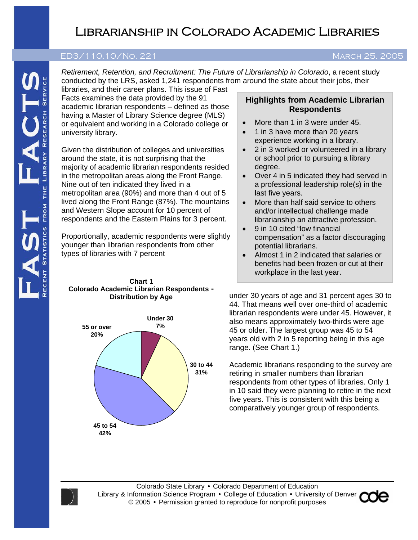# Librarianship in Colorado Academic Libraries

#### **ED3/110.10/No. 202 December 2003** ED3/110.10/No. 221 MARCH 25, 2005

*Retirement, Retention, and Recruitment: The Future of Librarianship in Colorado*, a recent study conducted by the LRS, asked 1,241 respondents from around the state about their jobs, their

libraries, and their career plans. This issue of Fast Facts examines the data provided by the 91 academic librarian respondents – defined as those having a Master of Library Science degree (MLS) or equivalent and working in a Colorado college or university library.

Given the distribution of colleges and universities around the state, it is not surprising that the majority of academic librarian respondents resided in the metropolitan areas along the Front Range. Nine out of ten indicated they lived in a metropolitan area (90%) and more than 4 out of 5 lived along the Front Range (87%). The mountains and Western Slope account for 10 percent of respondents and the Eastern Plains for 3 percent.

Proportionally, academic respondents were slightly younger than librarian respondents from other types of libraries with 7 percent

#### **Chart 1 Colorado Academic Librarian Respondents - Distribution by Age**



## **Highlights from Academic Librarian Respondents**

- More than 1 in 3 were under 45.
- 1 in 3 have more than 20 years experience working in a library.
- 2 in 3 worked or volunteered in a library or school prior to pursuing a library degree.
- Over 4 in 5 indicated they had served in a professional leadership role(s) in the last five years.
- More than half said service to others and/or intellectual challenge made librarianship an attractive profession.
- 9 in 10 cited "low financial compensation" as a factor discouraging potential librarians.
- Almost 1 in 2 indicated that salaries or benefits had been frozen or cut at their workplace in the last year.

under 30 years of age and 31 percent ages 30 to 44. That means well over one-third of academic librarian respondents were under 45. However, it also means approximately two-thirds were age 45 or older. The largest group was 45 to 54 years old with 2 in 5 reporting being in this age range. (See Chart 1.)

Academic librarians responding to the survey are retiring in smaller numbers than librarian respondents from other types of libraries. Only 1 in 10 said they were planning to retire in the next five years. This is consistent with this being a comparatively younger group of respondents.



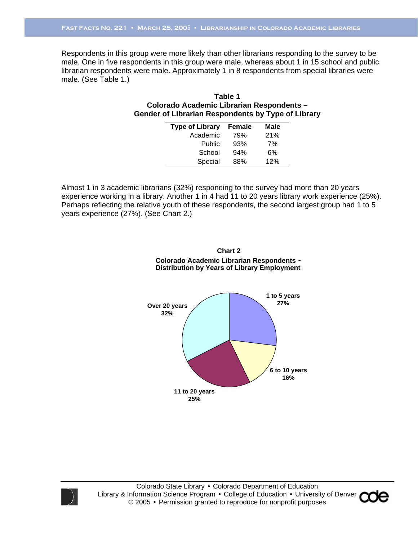Respondents in this group were more likely than other librarians responding to the survey to be male. One in five respondents in this group were male, whereas about 1 in 15 school and public librarian respondents were male. Approximately 1 in 8 respondents from special libraries were male. (See Table 1.)

#### **Table 1 Colorado Academic Librarian Respondents – Gender of Librarian Respondents by Type of Library**

| <b>Type of Library</b> | Female | Male |
|------------------------|--------|------|
| Academic               | 79%    | 21%  |
| Public                 | 93%    | 7%   |
| School                 | 94%    | 6%   |
| Special                | 88%    | 12%  |

Almost 1 in 3 academic librarians (32%) responding to the survey had more than 20 years experience working in a library. Another 1 in 4 had 11 to 20 years library work experience (25%). Perhaps reflecting the relative youth of these respondents, the second largest group had 1 to 5 years experience (27%). (See Chart 2.)

> **Chart 2 Colorado Academic Librarian Respondents - Distribution by Years of Library Employment**





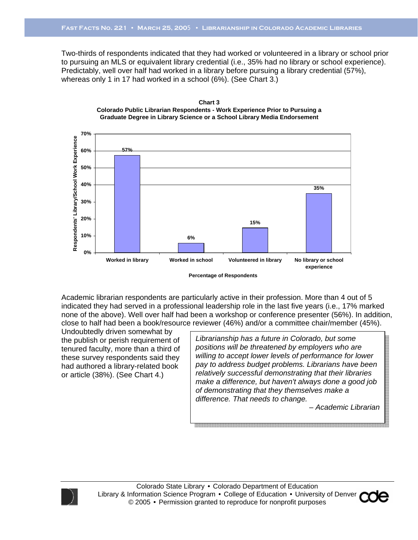Two-thirds of respondents indicated that they had worked or volunteered in a library or school prior to pursuing an MLS or equivalent library credential (i.e., 35% had no library or school experience). Predictably, well over half had worked in a library before pursuing a library credential (57%), whereas only 1 in 17 had worked in a school (6%). (See Chart 3.)





**Percentage of Respondents**

Academic librarian respondents are particularly active in their profession. More than 4 out of 5 indicated they had served in a professional leadership role in the last five years (i.e., 17% marked none of the above). Well over half had been a workshop or conference presenter (56%). In addition, close to half had been a book/resource reviewer (46%) and/or a committee chair/member (45%).

Undoubtedly driven somewhat by the publish or perish requirement of tenured faculty, more than a third of these survey respondents said they had authored a library-related book or article (38%). (See Chart 4.)

*Librarianship has a future in Colorado, but some positions will be threatened by employers who are willing to accept lower levels of performance for lower pay to address budget problems. Librarians have been relatively successful demonstrating that their libraries make a difference, but haven't always done a good job of demonstrating that they themselves make a difference. That needs to change.* 

*– Academic Librarian* 



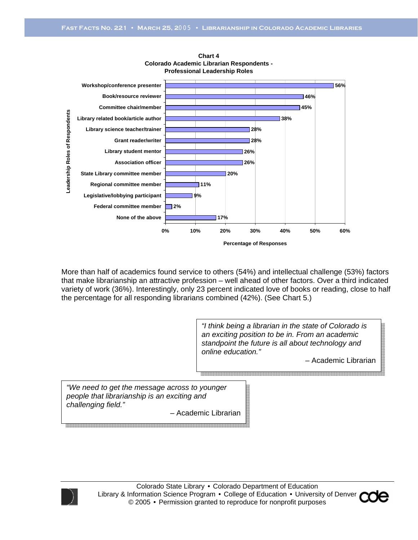

**Chart 4 Colorado Academic Librarian Respondents - Professional Leadership Roles**

More than half of academics found service to others (54%) and intellectual challenge (53%) factors that make librarianship an attractive profession – well ahead of other factors. Over a third indicated variety of work (36%). Interestingly, only 23 percent indicated love of books or reading, close to half the percentage for all responding librarians combined (42%). (See Chart 5.)

> *"I think being a librarian in the state of Colorado is an exciting position to be in. From an academic standpoint the future is all about technology and online education."*

> > – Academic Librarian

*"We need to get the message across to younger people that librarianship is an exciting and challenging field."* 

– Academic Librarian



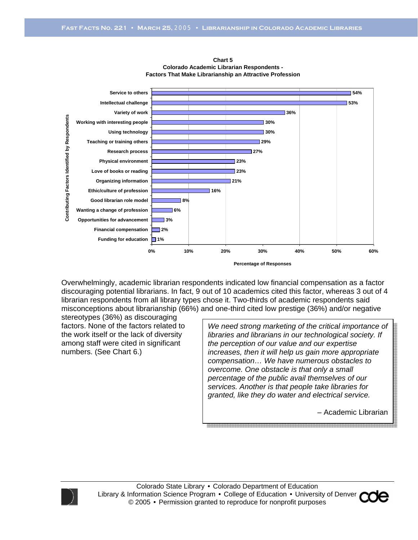

**Chart 5 Colorado Academic Librarian Respondents - Factors That Make Librarianship an Attractive Profession**

Overwhelmingly, academic librarian respondents indicated low financial compensation as a factor discouraging potential librarians. In fact, 9 out of 10 academics cited this factor, whereas 3 out of 4 librarian respondents from all library types chose it. Two-thirds of academic respondents said misconceptions about librarianship (66%) and one-third cited low prestige (36%) and/or negative

stereotypes (36%) as discouraging factors. None of the factors related to the work itself or the lack of diversity among staff were cited in significant numbers. (See Chart 6.)

*We need strong marketing of the critical importance of libraries and librarians in our technological society. If the perception of our value and our expertise increases, then it will help us gain more appropriate compensation… We have numerous obstacles to overcome. One obstacle is that only a small percentage of the public avail themselves of our services. Another is that people take libraries for granted, like they do water and electrical service.* 

*–* Academic Librarian



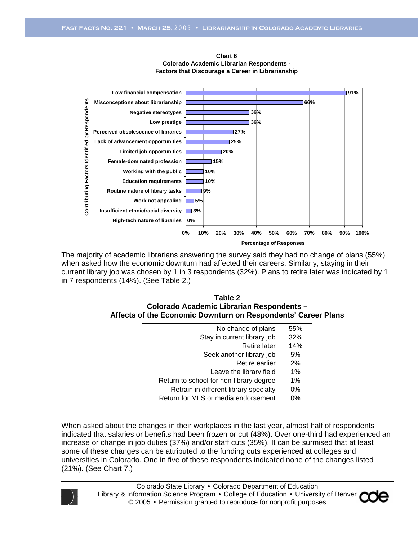

**Chart 6 Colorado Academic Librarian Respondents - Factors that Discourage a Career in Librarianship**

The majority of academic librarians answering the survey said they had no change of plans (55%) when asked how the economic downturn had affected their careers. Similarly, staying in their current library job was chosen by 1 in 3 respondents (32%). Plans to retire later was indicated by 1 in 7 respondents (14%). (See Table 2.)

| Table 2                                                       |
|---------------------------------------------------------------|
| Colorado Academic Librarian Respondents -                     |
| Affects of the Economic Downturn on Respondents' Career Plans |

| No change of plans                      | 55% |
|-----------------------------------------|-----|
| Stay in current library job             | 32% |
| <b>Retire later</b>                     | 14% |
| Seek another library job                | 5%  |
| Retire earlier                          | 2%  |
| Leave the library field                 | 1%  |
| Return to school for non-library degree | 1%  |
| Retrain in different library specialty  | 0%  |
| Return for MLS or media endorsement     | 0%  |

When asked about the changes in their workplaces in the last year, almost half of respondents indicated that salaries or benefits had been frozen or cut (48%). Over one-third had experienced an increase or change in job duties (37%) and/or staff cuts (35%). It can be surmised that at least some of these changes can be attributed to the funding cuts experienced at colleges and universities in Colorado. One in five of these respondents indicated none of the changes listed (21%). (See Chart 7.)



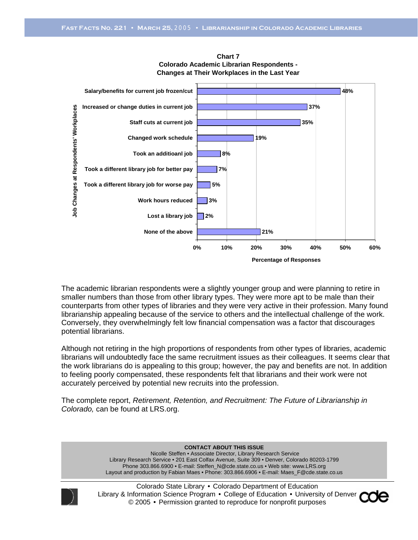

**Chart 7 Colorado Academic Librarian Respondents - Changes at Their Workplaces in the Last Year**

The academic librarian respondents were a slightly younger group and were planning to retire in smaller numbers than those from other library types. They were more apt to be male than their counterparts from other types of libraries and they were very active in their profession. Many found librarianship appealing because of the service to others and the intellectual challenge of the work. Conversely, they overwhelmingly felt low financial compensation was a factor that discourages potential librarians.

Although not retiring in the high proportions of respondents from other types of libraries, academic librarians will undoubtedly face the same recruitment issues as their colleagues. It seems clear that the work librarians do is appealing to this group; however, the pay and benefits are not. In addition to feeling poorly compensated, these respondents felt that librarians and their work were not accurately perceived by potential new recruits into the profession.

The complete report, *Retirement, Retention, and Recruitment: The Future of Librarianship in Colorado,* can be found at LRS.org.

> **CONTACT ABOUT THIS ISSUE**  Nicolle Steffen • Associate Director, Library Research Service Library Research Service • 201 East Colfax Avenue, Suite 309 • Denver, Colorado 80203-1799 Phone 303.866.6900 • E-mail: Steffen\_N@cde.state.co.us • Web site: www.LRS.org Layout and production by Fabian Maes • Phone: 303.866.6906 • E-mail: Maes\_F@cde.state.co.us



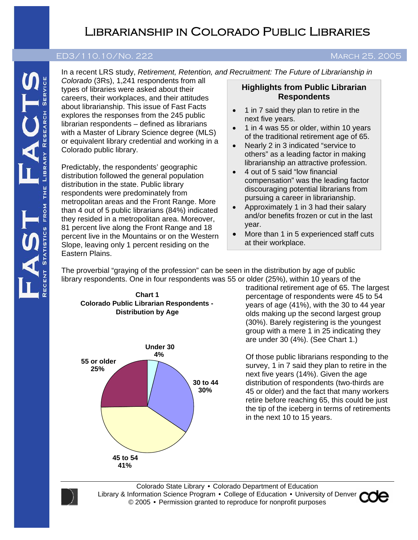# Librarianship in Colorado Public Libraries

#### **ED3/110.10/No. 202 December 29, <sup>2003</sup>**ED3/110.10/No. 222 March 25, 2005

In a recent LRS study, *Retirement, Retention, and Recruitment: The Future of Librarianship in* 

*Colorado* (3Rs), 1,241 respondents from all types of libraries were asked about their careers, their workplaces, and their attitudes about librarianship. This issue of Fast Facts explores the responses from the 245 public librarian respondents – defined as librarians with a Master of Library Science degree (MLS) or equivalent library credential and working in a Colorado public library.

Predictably, the respondents' geographic distribution followed the general population distribution in the state. Public library respondents were predominately from metropolitan areas and the Front Range. More than 4 out of 5 public librarians (84%) indicated they resided in a metropolitan area. Moreover, 81 percent live along the Front Range and 18 percent live in the Mountains or on the Western Slope, leaving only 1 percent residing on the Eastern Plains.

#### **Highlights from Public Librarian Respondents**

- 1 in 7 said they plan to retire in the next five years.
- 1 in 4 was 55 or older, within 10 years of the traditional retirement age of 65.
- Nearly 2 in 3 indicated "service to others" as a leading factor in making librarianship an attractive profession.
- 4 out of 5 said "low financial compensation" was the leading factor discouraging potential librarians from pursuing a career in librarianship.
- Approximately 1 in 3 had their salary and/or benefits frozen or cut in the last year.
- More than 1 in 5 experienced staff cuts at their workplace.

The proverbial "graying of the profession" can be seen in the distribution by age of public library respondents. One in four respondents was 55 or older (25%), within 10 years of the

**Chart 1 Colorado Public Librarian Respondents - Distribution by Age**



traditional retirement age of 65. The largest percentage of respondents were 45 to 54 years of age (41%), with the 30 to 44 year olds making up the second largest group (30%). Barely registering is the youngest group with a mere 1 in 25 indicating they are under 30 (4%). (See Chart 1.)

Of those public librarians responding to the survey, 1 in 7 said they plan to retire in the next five years (14%). Given the age distribution of respondents (two-thirds are 45 or older) and the fact that many workers retire before reaching 65, this could be just the tip of the iceberg in terms of retirements in the next 10 to 15 years.



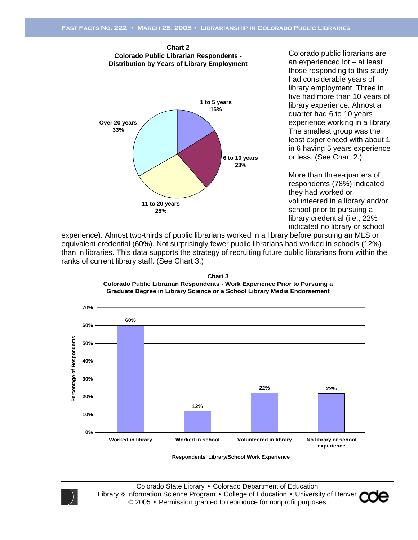

**Chart 2**

Colorado public librarians are an experienced lot – at least those responding to this study had considerable years of library employment. Three in five had more than 10 years of library experience. Almost a quarter had 6 to 10 years experience working in a library. The smallest group was the least experienced with about 1 in 6 having 5 years experience or less. (See Chart 2.)

More than three-quarters of respondents (78%) indicated they had worked or volunteered in a library and/or school prior to pursuing a library credential (i.e., 22% indicated no library or school

experience). Almost two-thirds of public librarians worked in a library before pursuing an MLS or equivalent credential (60%). Not surprisingly fewer public librarians had worked in schools (12%) than in libraries. This data supports the strategy of recruiting future public librarians from within the ranks of current library staff. (See Chart 3.)

**Chart 3 Colorado Public Librarian Respondents - Work Experience Prior to Pursuing a Graduate Degree in Library Science or a School Library Media Endorsement**



**Respondents' Library/School Work Experience**



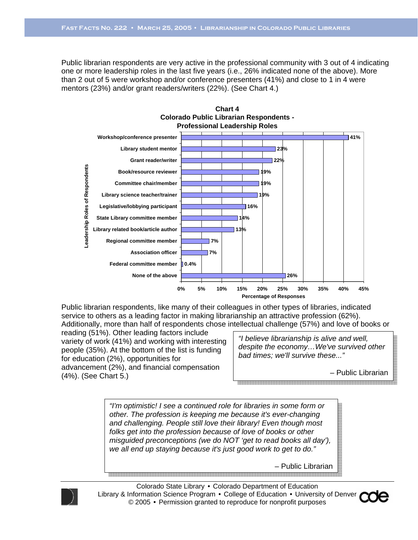Public librarian respondents are very active in the professional community with 3 out of 4 indicating one or more leadership roles in the last five years (i.e., 26% indicated none of the above). More than 2 out of 5 were workshop and/or conference presenters (41%) and close to 1 in 4 were mentors (23%) and/or grant readers/writers (22%). (See Chart 4.)



Public librarian respondents, like many of their colleagues in other types of libraries, indicated service to others as a leading factor in making librarianship an attractive profession (62%). Additionally, more than half of respondents chose intellectual challenge (57%) and love of books or

reading (51%). Other leading factors include variety of work (41%) and working with interesting people (35%). At the bottom of the list is funding for education (2%), opportunities for advancement (2%), and financial compensation (4%). (See Chart 5.)

*"I believe librarianship is alive and well, despite the economy…We've survived other bad times; we'll survive these..."* 

– Public Librarian

*"I'm optimistic! I see a continued role for libraries in some form or other. The profession is keeping me because it's ever-changing and challenging. People still love their library! Even though most folks get into the profession because of love of books or other misguided preconceptions (we do NOT 'get to read books all day'), we all end up staying because it's just good work to get to do."* 

– Public Librarian



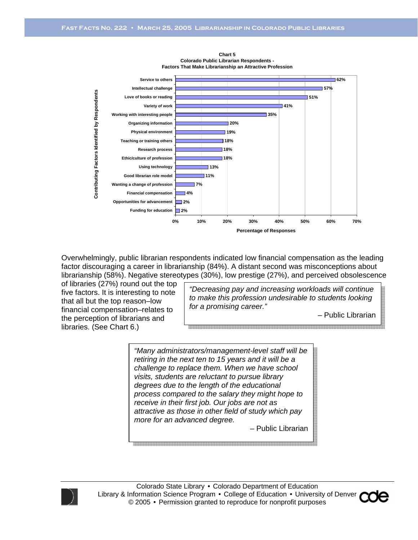



Overwhelmingly, public librarian respondents indicated low financial compensation as the leading factor discouraging a career in librarianship (84%). A distant second was misconceptions about librarianship (58%). Negative stereotypes (30%), low prestige (27%), and perceived obsolescence

of libraries (27%) round out the top five factors. It is interesting to note that all but the top reason–low financial compensation–relates to the perception of librarians and libraries. (See Chart 6.)

*"Decreasing pay and increasing workloads will continue to make this profession undesirable to students looking for a promising career."* 

*–* Public Librarian

*"Many administrators/management-level staff will be retiring in the next ten to 15 years and it will be a challenge to replace them. When we have school visits, students are reluctant to pursue library degrees due to the length of the educational process compared to the salary they might hope to receive in their first job. Our jobs are not as attractive as those in other field of study which pay more for an advanced degree.* 

– Public Librarian



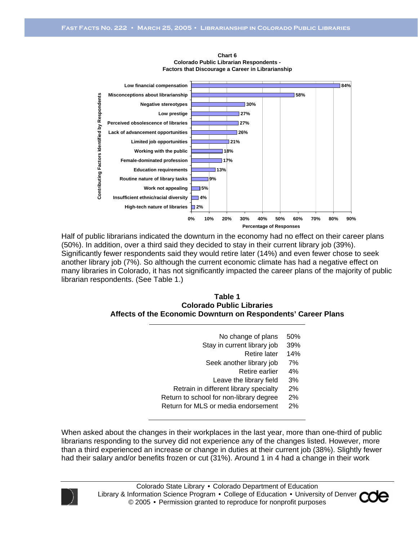

**Chart 6 Colorado Public Librarian Respondents - Factors that Discourage a Career in Librarianship**

Half of public librarians indicated the downturn in the economy had no effect on their career plans (50%). In addition, over a third said they decided to stay in their current library job (39%). Significantly fewer respondents said they would retire later (14%) and even fewer chose to seek another library job (7%). So although the current economic climate has had a negative effect on many libraries in Colorado, it has not significantly impacted the career plans of the majority of public librarian respondents. (See Table 1.)

#### **Table 1 Colorado Public Libraries Affects of the Economic Downturn on Respondents' Career Plans**

- No change of plans 50%
- Stay in current library job 39%
	- Retire later 14%
- Seek another library job 7%
	- Retire earlier 4%
	- Leave the library field 3%
- Retrain in different library specialty 2%
- Return to school for non-library degree 2%
- Return for MLS or media endorsement 2%

When asked about the changes in their workplaces in the last year, more than one-third of public librarians responding to the survey did not experience any of the changes listed. However, more than a third experienced an increase or change in duties at their current job (38%). Slightly fewer had their salary and/or benefits frozen or cut (31%). Around 1 in 4 had a change in their work



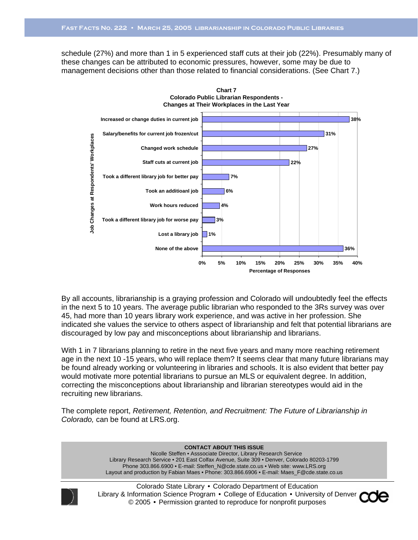schedule (27%) and more than 1 in 5 experienced staff cuts at their job (22%). Presumably many of these changes can be attributed to economic pressures, however, some may be due to management decisions other than those related to financial considerations. (See Chart 7.)



By all accounts, librarianship is a graying profession and Colorado will undoubtedly feel the effects in the next 5 to 10 years. The average public librarian who responded to the 3Rs survey was over 45, had more than 10 years library work experience, and was active in her profession. She indicated she values the service to others aspect of librarianship and felt that potential librarians are discouraged by low pay and misconceptions about librarianship and librarians.

With 1 in 7 librarians planning to retire in the next five years and many more reaching retirement age in the next 10 -15 years, who will replace them? It seems clear that many future librarians may be found already working or volunteering in libraries and schools. It is also evident that better pay would motivate more potential librarians to pursue an MLS or equivalent degree. In addition, correcting the misconceptions about librarianship and librarian stereotypes would aid in the recruiting new librarians.

The complete report, *Retirement, Retention, and Recruitment: The Future of Librarianship in Colorado,* can be found at LRS.org.

> **CONTACT ABOUT THIS ISSUE**  Nicolle Steffen • Asssociate Director, Library Research Service Library Research Service • 201 East Colfax Avenue, Suite 309 • Denver, Colorado 80203-1799 Phone 303.866.6900 • E-mail: Steffen\_N@cde.state.co.us • Web site: www.LRS.org Layout and production by Fabian Maes • Phone: 303.866.6906 • E-mail: Maes\_F@cde.state.co.us



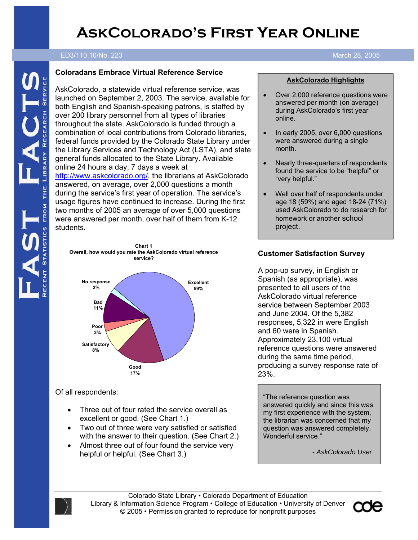# **AskColorado's First Year Online**

#### ED3/110.10/No. 223 March 28, 2005

#### **Coloradans Embrace Virtual Reference Service**

AskColorado, a statewide virtual reference service, was launched on September 2, 2003. The service, available for both English and Spanish-speaking patrons, is staffed by over 200 library personnel from all types of libraries throughout the state. AskColorado is funded through a combination of local contributions from Colorado libraries, federal funds provided by the Colorado State Library under the Library Services and Technology Act (LSTA), and state general funds allocated to the State Library. Available online 24 hours a day, 7 days a week at http://www.askcolorado.org/, the librarians at AskColorado answered, on average, over 2,000 questions a month during the service's first year of operation. The service's usage figures have continued to increase. During the first two months of 2005 an average of over 5,000 questions were answered per month, over half of them from K-12 students.



**Chart 1 Overall, how would you rate the AskColorado virtual reference** 

### Of all respondents:

- Three out of four rated the service overall as excellent or good. (See Chart 1.)
- Two out of three were very satisfied or satisfied with the answer to their question. (See Chart 2.)
- Almost three out of four found the service very helpful or helpful. (See Chart 3.)

## **ED3/110.10/No. 202 December 29, 2003**

#### **AskColorado Highlights**

- Over 2,000 reference questions were answered per month (on average) during AskColorado's first year online.
- In early 2005, over 6,000 questions were answered during a single month.
- Nearly three-quarters of respondents found the service to be "helpful" or "very helpful."
- Well over half of respondents under age 18 (59%) and aged 18-24 (71%) used AskColorado to do research for homework or another school project.

### **Customer Satisfaction Survey**

A pop-up survey, in English or Spanish (as appropriate), was presented to all users of the AskColorado virtual reference service between September 2003 and June 2004. Of the 5,382 responses, 5,322 in were English and 60 were in Spanish. Approximately 23,100 virtual reference questions were answered during the same time period, producing a survey response rate of 23%.

"The reference question was answered quickly and since this was my first experience with the system, the librarian was concerned that my question was answered completely. Wonderful service."

*- AskColorado User* 

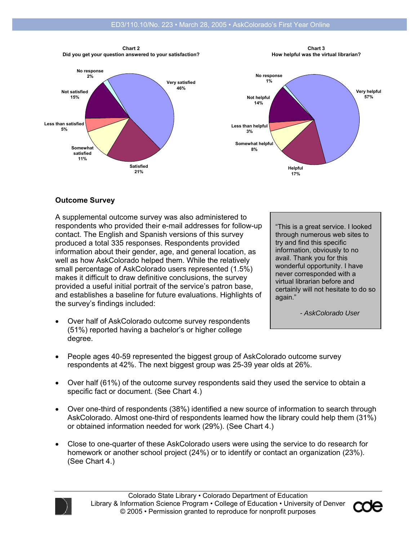

**21%**

**Chart 3 How helpful was the virtual librarian?** 



### **Outcome Survey**

A supplemental outcome survey was also administered to respondents who provided their e-mail addresses for follow-up contact. The English and Spanish versions of this survey produced a total 335 responses. Respondents provided information about their gender, age, and general location, as well as how AskColorado helped them. While the relatively small percentage of AskColorado users represented (1.5%) makes it difficult to draw definitive conclusions, the survey provided a useful initial portrait of the service's patron base, and establishes a baseline for future evaluations. Highlights of the survey's findings included:

• Over half of AskColorado outcome survey respondents (51%) reported having a bachelor's or higher college degree.

"This is a great service. I looked through numerous web sites to try and find this specific information, obviously to no avail. Thank you for this wonderful opportunity. I have never corresponded with a virtual librarian before and certainly will not hesitate to do so again."

*- AskColorado User* 

- People ages 40-59 represented the biggest group of AskColorado outcome survey respondents at 42%. The next biggest group was 25-39 year olds at 26%.
- Over half (61%) of the outcome survey respondents said they used the service to obtain a specific fact or document. (See Chart 4.)
- Over one-third of respondents (38%) identified a new source of information to search through AskColorado. Almost one-third of respondents learned how the library could help them (31%) or obtained information needed for work (29%). (See Chart 4.)
- Close to one-quarter of these AskColorado users were using the service to do research for homework or another school project (24%) or to identify or contact an organization (23%). (See Chart 4.)



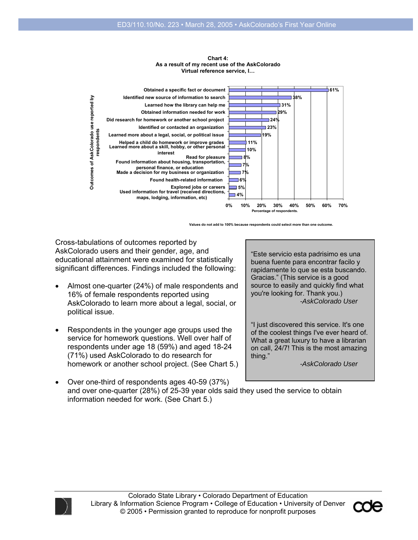

#### Chart 4: **As a result of my recent use of the AskColorado As a result of my recent use of the AskColorado virtual reference service, I... Virtual reference service, I…**

**Values do not add to 100% because respondents could select more than one outcome.**

Cross-tabulations of outcomes reported by AskColorado users and their gender, age, and educational attainment were examined for statistically significant differences. Findings included the following:

- Almost one-quarter (24%) of male respondents and 16% of female respondents reported using AskColorado to learn more about a legal, social, or political issue.
- Respondents in the younger age groups used the service for homework questions. Well over half of respondents under age 18 (59%) and aged 18-24 (71%) used AskColorado to do research for homework or another school project. (See Chart 5.)

"Este servicio esta padrisimo es una buena fuente para encontrar facilo y rapidamente lo que se esta buscando. Gracias." (This service is a good source to easily and quickly find what you're looking for. Thank you.) *-AskColorado User* 

"I just discovered this service. It's one of the coolest things I've ever heard of. What a great luxury to have a librarian on call, 24/7! This is the most amazing thing."

*-AskColorado User* 

• Over one-third of respondents ages 40-59 (37%) and over one-quarter (28%) of 25-39 year olds said they used the service to obtain information needed for work. (See Chart 5.)



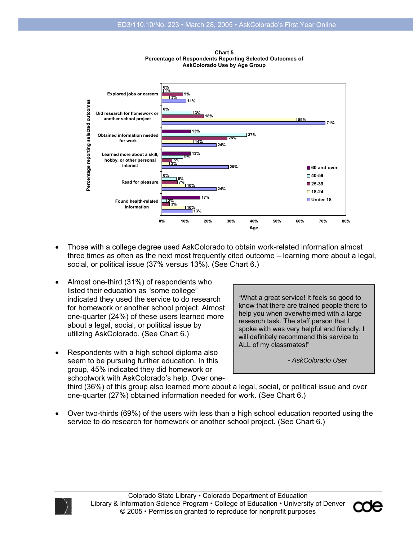

**Chart 1**<br>معمول ماہ **Percentage of Respondents Reporting Selected Outcomes of Percentage of Respondents Reporting Selected Outcomes of AskColorado Use by Age Group AskColorado Use by Age Group Chart 5** 

- Those with a college degree used AskColorado to obtain work-related information almost three times as often as the next most frequently cited outcome – learning more about a legal, social, or political issue (37% versus 13%). (See Chart 6.)
- Almost one-third (31%) of respondents who listed their education as "some college" indicated they used the service to do research for homework or another school project. Almost one-quarter (24%) of these users learned more about a legal, social, or political issue by utilizing AskColorado. (See Chart 6.)
- Respondents with a high school diploma also seem to be pursuing further education. In this group, 45% indicated they did homework or schoolwork with AskColorado's help. Over one-

"What a great service! It feels so good to know that there are trained people there to help you when overwhelmed with a large research task. The staff person that I spoke with was very helpful and friendly. I will definitely recommend this service to ALL of my classmates!"

*- AskColorado User* 

third (36%) of this group also learned more about a legal, social, or political issue and over one-quarter (27%) obtained information needed for work. (See Chart 6.)

• Over two-thirds (69%) of the users with less than a high school education reported using the service to do research for homework or another school project. (See Chart 6.)



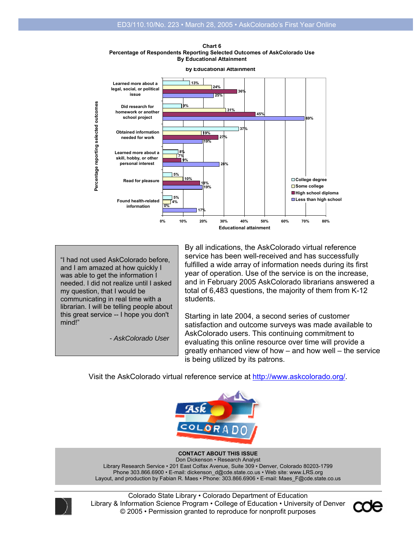**Percentage of Respondents Reporting Selected Outcomes of AskColorado Use By Educational Attainment Chart 6** 



**by Educational Attainment**

"I had not used AskColorado before, and I am amazed at how quickly I was able to get the information I needed. I did not realize until I asked my question, that I would be communicating in real time with a librarian. I will be telling people about this great service -- I hope you don't mind!"

*- AskColorado User* 

By all indications, the AskColorado virtual reference service has been well-received and has successfully fulfilled a wide array of information needs during its first year of operation. Use of the service is on the increase, and in February 2005 AskColorado librarians answered a total of 6,483 questions, the majority of them from K-12 students.

Starting in late 2004, a second series of customer satisfaction and outcome surveys was made available to AskColorado users. This continuing commitment to evaluating this online resource over time will provide a greatly enhanced view of how – and how well – the service is being utilized by its patrons.

Visit the AskColorado virtual reference service at http://www.askcolorado.org/.



#### **CONTACT ABOUT THIS ISSUE**

Don Dickenson • Research Analyst Library Research Service • 201 East Colfax Avenue, Suite 309 • Denver, Colorado 80203-1799 Phone 303.866.6900 • E-mail: dickenson\_d@cde.state.co.us • Web site: www.LRS.org Layout, and production by Fabian R. Maes • Phone: 303.866.6906 • E-mail: Maes\_F@cde.state.co.us



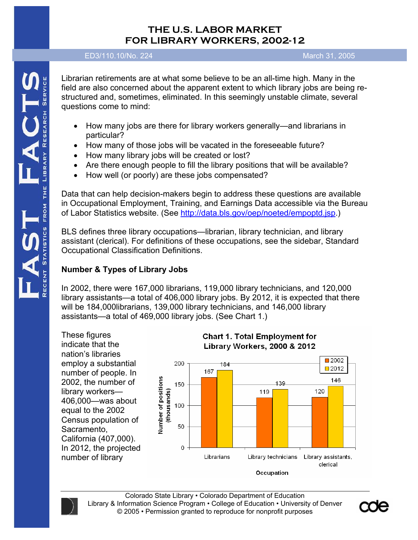# **THE U.S. LABOR MARKET FOR LIBRARY WORKERS, 2002-12**

ED3/110.10/No. 224 March 31, 2005

Librarian retirements are at what some believe to be an all-time high. Many in the field are also concerned about the apparent extent to which library jobs are being restructured and, sometimes, eliminated. In this seemingly unstable climate, several questions come to mind:

- How many jobs are there for library workers generally—and librarians in particular?
- How many of those jobs will be vacated in the foreseeable future?
- How many library jobs will be created or lost?
- Are there enough people to fill the library positions that will be available?
- How well (or poorly) are these jobs compensated?

Data that can help decision-makers begin to address these questions are available in Occupational Employment, Training, and Earnings Data accessible via the Bureau of Labor Statistics website. (See http://data.bls.gov/oep/noeted/empoptd.jsp.)

BLS defines three library occupations—librarian, library technician, and library assistant (clerical). For definitions of these occupations, see the sidebar, Standard Occupational Classification Definitions.

# **Number & Types of Library Jobs**

In 2002, there were 167,000 librarians, 119,000 library technicians, and 120,000 library assistants—a total of 406,000 library jobs. By 2012, it is expected that there will be 184,000librarians, 139,000 library technicians, and 146,000 library assistants—a total of 469,000 library jobs. (See Chart 1.)

These figures indicate that the nation's libraries employ a substantial number of people. In 2002, the number of library workers— 406,000—was about equal to the 2002 Census population of Sacramento, California (407,000). In 2012, the projected number of library





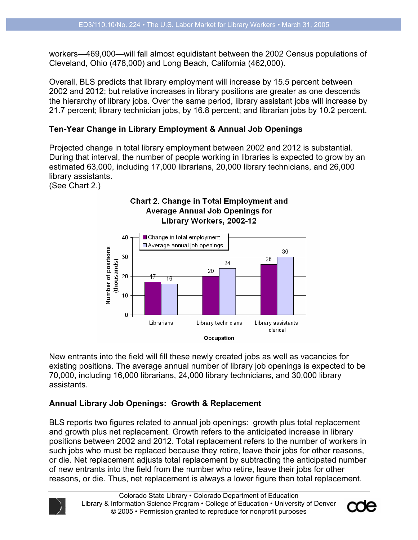workers—469,000—will fall almost equidistant between the 2002 Census populations of Cleveland, Ohio (478,000) and Long Beach, California (462,000).

Overall, BLS predicts that library employment will increase by 15.5 percent between 2002 and 2012; but relative increases in library positions are greater as one descends the hierarchy of library jobs. Over the same period, library assistant jobs will increase by 21.7 percent; library technician jobs, by 16.8 percent; and librarian jobs by 10.2 percent.

### **Ten-Year Change in Library Employment & Annual Job Openings**

Projected change in total library employment between 2002 and 2012 is substantial. During that interval, the number of people working in libraries is expected to grow by an estimated 63,000, including 17,000 librarians, 20,000 library technicians, and 26,000 library assistants.

(See Chart 2.)



New entrants into the field will fill these newly created jobs as well as vacancies for existing positions. The average annual number of library job openings is expected to be 70,000, including 16,000 librarians, 24,000 library technicians, and 30,000 library assistants.

### **Annual Library Job Openings: Growth & Replacement**

BLS reports two figures related to annual job openings: growth plus total replacement and growth plus net replacement. Growth refers to the anticipated increase in library positions between 2002 and 2012. Total replacement refers to the number of workers in such jobs who must be replaced because they retire, leave their jobs for other reasons, or die. Net replacement adjusts total replacement by subtracting the anticipated number of new entrants into the field from the number who retire, leave their jobs for other reasons, or die. Thus, net replacement is always a lower figure than total replacement.



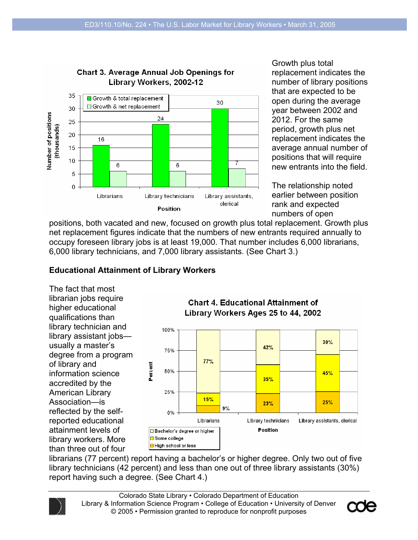

Growth plus total replacement indicates the number of library positions that are expected to be open during the average year between 2002 and 2012. For the same period, growth plus net replacement indicates the average annual number of positions that will require new entrants into the field.

The relationship noted earlier between position rank and expected numbers of open

positions, both vacated and new, focused on growth plus total replacement. Growth plus net replacement figures indicate that the numbers of new entrants required annually to occupy foreseen library jobs is at least 19,000. That number includes 6,000 librarians, 6,000 library technicians, and 7,000 library assistants. (See Chart 3.)

## **Educational Attainment of Library Workers**

The fact that most librarian jobs require higher educational qualifications than library technician and library assistant jobs usually a master's degree from a program of library and information science accredited by the American Library Association—is reflected by the selfreported educational attainment levels of library workers. More than three out of four



librarians (77 percent) report having a bachelor's or higher degree. Only two out of five library technicians (42 percent) and less than one out of three library assistants (30%) report having such a degree. (See Chart 4.)



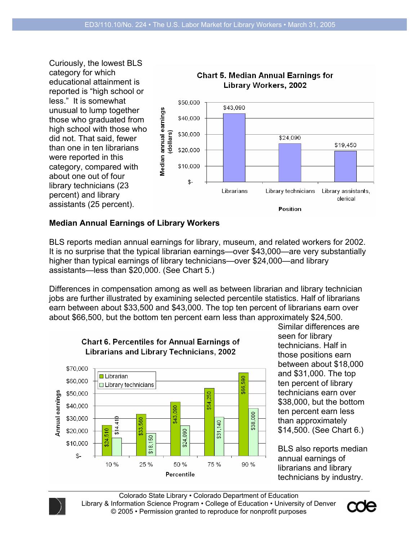

### **Median Annual Earnings of Library Workers**

BLS reports median annual earnings for library, museum, and related workers for 2002. It is no surprise that the typical librarian earnings—over \$43,000—are very substantially higher than typical earnings of library technicians—over \$24,000—and library assistants—less than \$20,000. (See Chart 5.)

Differences in compensation among as well as between librarian and library technician jobs are further illustrated by examining selected percentile statistics. Half of librarians earn between about \$33,500 and \$43,000. The top ten percent of librarians earn over about \$66,500, but the bottom ten percent earn less than approximately \$24,500.



**Chart 6. Percentiles for Annual Earnings of Librarians and Library Technicians, 2002** 

Similar differences are seen for library technicians. Half in those positions earn between about \$18,000 and \$31,000. The top ten percent of library technicians earn over \$38,000, but the bottom ten percent earn less than approximately \$14,500. (See Chart 6.)

BLS also reports median annual earnings of librarians and library technicians by industry.